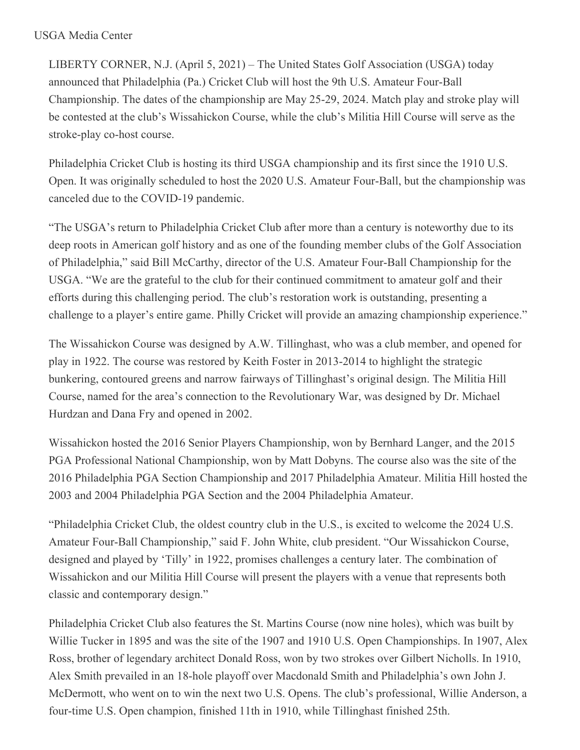## USGA Media Center

LIBERTY CORNER, N.J. (April 5, 2021) – The United States Golf Association (USGA) today announced that Philadelphia (Pa.) Cricket Club will host the 9th U.S. Amateur Four-Ball Championship. The dates of the championship are May 25-29, 2024. Match play and stroke play will be contested at the club's Wissahickon Course, while the club's Militia Hill Course will serve as the stroke-play co-host course.

Philadelphia Cricket Club is hosting its third USGA championship and its first since the 1910 U.S. Open. It was originally scheduled to host the 2020 U.S. Amateur Four-Ball, but the championship was canceled due to the COVID-19 pandemic.

"The USGA's return to Philadelphia Cricket Club after more than a century is noteworthy due to its deep roots in American golf history and as one of the founding member clubs of the Golf Association of Philadelphia," said Bill McCarthy, director of the U.S. Amateur Four-Ball Championship for the USGA. "We are the grateful to the club for their continued commitment to amateur golf and their efforts during this challenging period. The club's restoration work is outstanding, presenting a challenge to a player's entire game. Philly Cricket will provide an amazing championship experience."

The Wissahickon Course was designed by A.W. Tillinghast, who was a club member, and opened for play in 1922. The course was restored by Keith Foster in 2013-2014 to highlight the strategic bunkering, contoured greens and narrow fairways of Tillinghast's original design. The Militia Hill Course, named for the area's connection to the Revolutionary War, was designed by Dr. Michael Hurdzan and Dana Fry and opened in 2002.

Wissahickon hosted the 2016 Senior Players Championship, won by Bernhard Langer, and the 2015 PGA Professional National Championship, won by Matt Dobyns. The course also was the site of the 2016 Philadelphia PGA Section Championship and 2017 Philadelphia Amateur. Militia Hill hosted the 2003 and 2004 Philadelphia PGA Section and the 2004 Philadelphia Amateur.

"Philadelphia Cricket Club, the oldest country club in the U.S., is excited to welcome the 2024 U.S. Amateur Four-Ball Championship," said F. John White, club president. "Our Wissahickon Course, designed and played by 'Tilly' in 1922, promises challenges a century later. The combination of Wissahickon and our Militia Hill Course will present the players with a venue that represents both classic and contemporary design."

Philadelphia Cricket Club also features the St. Martins Course (now nine holes), which was built by Willie Tucker in 1895 and was the site of the 1907 and 1910 U.S. Open Championships. In 1907, Alex Ross, brother of legendary architect Donald Ross, won by two strokes over Gilbert Nicholls. In 1910, Alex Smith prevailed in an 18-hole playoff over Macdonald Smith and Philadelphia's own John J. McDermott, who went on to win the next two U.S. Opens. The club's professional, Willie Anderson, a four-time U.S. Open champion, finished 11th in 1910, while Tillinghast finished 25th.